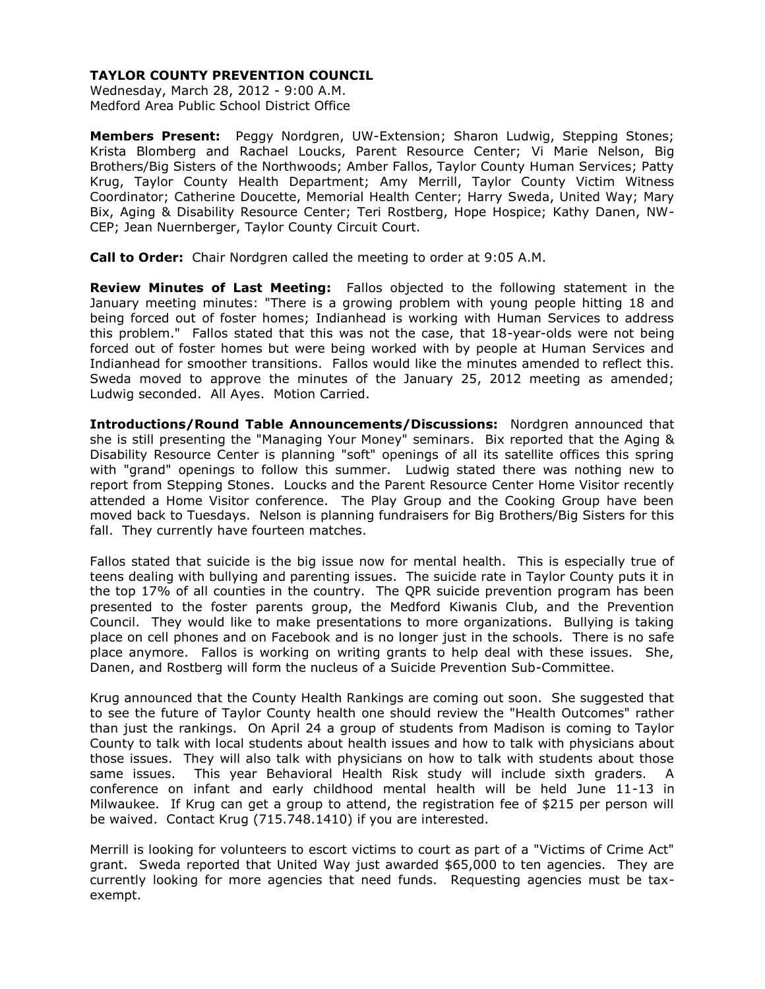## **TAYLOR COUNTY PREVENTION COUNCIL**

Wednesday, March 28, 2012 - 9:00 A.M. Medford Area Public School District Office

**Members Present:** Peggy Nordgren, UW-Extension; Sharon Ludwig, Stepping Stones; Krista Blomberg and Rachael Loucks, Parent Resource Center; Vi Marie Nelson, Big Brothers/Big Sisters of the Northwoods; Amber Fallos, Taylor County Human Services; Patty Krug, Taylor County Health Department; Amy Merrill, Taylor County Victim Witness Coordinator; Catherine Doucette, Memorial Health Center; Harry Sweda, United Way; Mary Bix, Aging & Disability Resource Center; Teri Rostberg, Hope Hospice; Kathy Danen, NW-CEP; Jean Nuernberger, Taylor County Circuit Court.

**Call to Order:** Chair Nordgren called the meeting to order at 9:05 A.M.

**Review Minutes of Last Meeting:** Fallos objected to the following statement in the January meeting minutes: "There is a growing problem with young people hitting 18 and being forced out of foster homes; Indianhead is working with Human Services to address this problem." Fallos stated that this was not the case, that 18-year-olds were not being forced out of foster homes but were being worked with by people at Human Services and Indianhead for smoother transitions. Fallos would like the minutes amended to reflect this. Sweda moved to approve the minutes of the January 25, 2012 meeting as amended; Ludwig seconded. All Ayes. Motion Carried.

**Introductions/Round Table Announcements/Discussions:** Nordgren announced that she is still presenting the "Managing Your Money" seminars. Bix reported that the Aging & Disability Resource Center is planning "soft" openings of all its satellite offices this spring with "grand" openings to follow this summer. Ludwig stated there was nothing new to report from Stepping Stones. Loucks and the Parent Resource Center Home Visitor recently attended a Home Visitor conference. The Play Group and the Cooking Group have been moved back to Tuesdays. Nelson is planning fundraisers for Big Brothers/Big Sisters for this fall. They currently have fourteen matches.

Fallos stated that suicide is the big issue now for mental health. This is especially true of teens dealing with bullying and parenting issues. The suicide rate in Taylor County puts it in the top 17% of all counties in the country. The QPR suicide prevention program has been presented to the foster parents group, the Medford Kiwanis Club, and the Prevention Council. They would like to make presentations to more organizations. Bullying is taking place on cell phones and on Facebook and is no longer just in the schools. There is no safe place anymore. Fallos is working on writing grants to help deal with these issues. She, Danen, and Rostberg will form the nucleus of a Suicide Prevention Sub-Committee.

Krug announced that the County Health Rankings are coming out soon. She suggested that to see the future of Taylor County health one should review the "Health Outcomes" rather than just the rankings. On April 24 a group of students from Madison is coming to Taylor County to talk with local students about health issues and how to talk with physicians about those issues. They will also talk with physicians on how to talk with students about those same issues. This year Behavioral Health Risk study will include sixth graders. A conference on infant and early childhood mental health will be held June 11-13 in Milwaukee. If Krug can get a group to attend, the registration fee of \$215 per person will be waived. Contact Krug (715.748.1410) if you are interested.

Merrill is looking for volunteers to escort victims to court as part of a "Victims of Crime Act" grant. Sweda reported that United Way just awarded \$65,000 to ten agencies. They are currently looking for more agencies that need funds. Requesting agencies must be taxexempt.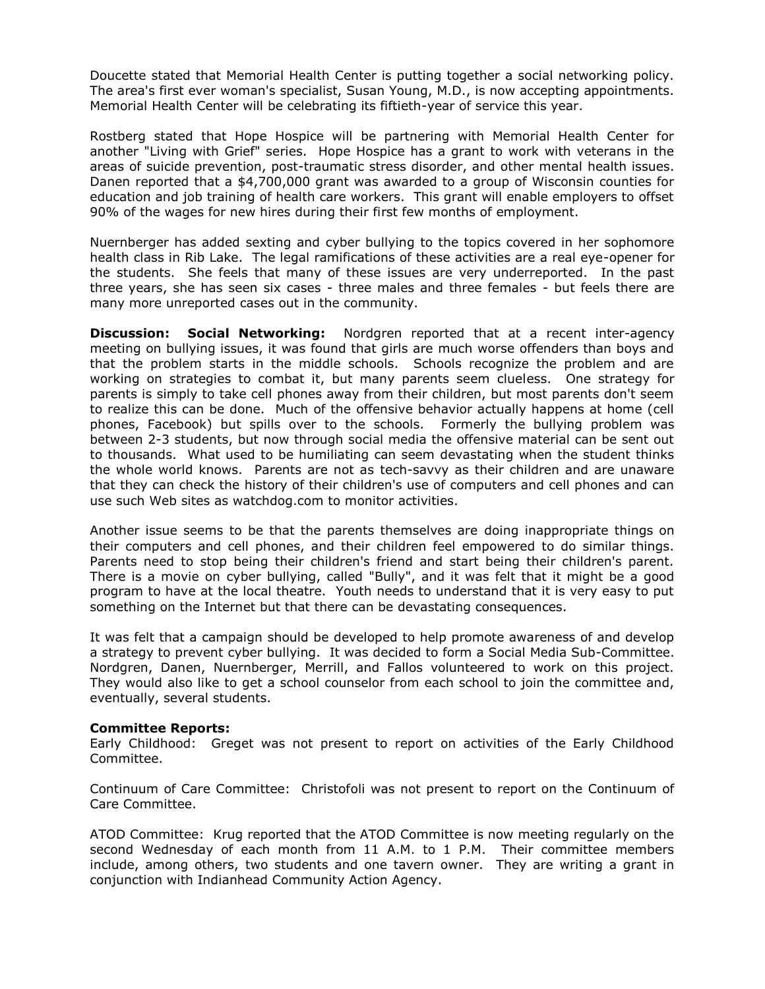Doucette stated that Memorial Health Center is putting together a social networking policy. The area's first ever woman's specialist, Susan Young, M.D., is now accepting appointments. Memorial Health Center will be celebrating its fiftieth-year of service this year.

Rostberg stated that Hope Hospice will be partnering with Memorial Health Center for another "Living with Grief" series. Hope Hospice has a grant to work with veterans in the areas of suicide prevention, post-traumatic stress disorder, and other mental health issues. Danen reported that a \$4,700,000 grant was awarded to a group of Wisconsin counties for education and job training of health care workers. This grant will enable employers to offset 90% of the wages for new hires during their first few months of employment.

Nuernberger has added sexting and cyber bullying to the topics covered in her sophomore health class in Rib Lake. The legal ramifications of these activities are a real eye-opener for the students. She feels that many of these issues are very underreported. In the past three years, she has seen six cases - three males and three females - but feels there are many more unreported cases out in the community.

**Discussion: Social Networking:** Nordgren reported that at a recent inter-agency meeting on bullying issues, it was found that girls are much worse offenders than boys and that the problem starts in the middle schools. Schools recognize the problem and are working on strategies to combat it, but many parents seem clueless. One strategy for parents is simply to take cell phones away from their children, but most parents don't seem to realize this can be done. Much of the offensive behavior actually happens at home (cell phones, Facebook) but spills over to the schools. Formerly the bullying problem was between 2-3 students, but now through social media the offensive material can be sent out to thousands. What used to be humiliating can seem devastating when the student thinks the whole world knows. Parents are not as tech-savvy as their children and are unaware that they can check the history of their children's use of computers and cell phones and can use such Web sites as watchdog.com to monitor activities.

Another issue seems to be that the parents themselves are doing inappropriate things on their computers and cell phones, and their children feel empowered to do similar things. Parents need to stop being their children's friend and start being their children's parent. There is a movie on cyber bullying, called "Bully", and it was felt that it might be a good program to have at the local theatre. Youth needs to understand that it is very easy to put something on the Internet but that there can be devastating consequences.

It was felt that a campaign should be developed to help promote awareness of and develop a strategy to prevent cyber bullying. It was decided to form a Social Media Sub-Committee. Nordgren, Danen, Nuernberger, Merrill, and Fallos volunteered to work on this project. They would also like to get a school counselor from each school to join the committee and, eventually, several students.

## **Committee Reports:**

Early Childhood: Greget was not present to report on activities of the Early Childhood Committee.

Continuum of Care Committee: Christofoli was not present to report on the Continuum of Care Committee.

ATOD Committee: Krug reported that the ATOD Committee is now meeting regularly on the second Wednesday of each month from 11 A.M. to 1 P.M. Their committee members include, among others, two students and one tavern owner. They are writing a grant in conjunction with Indianhead Community Action Agency.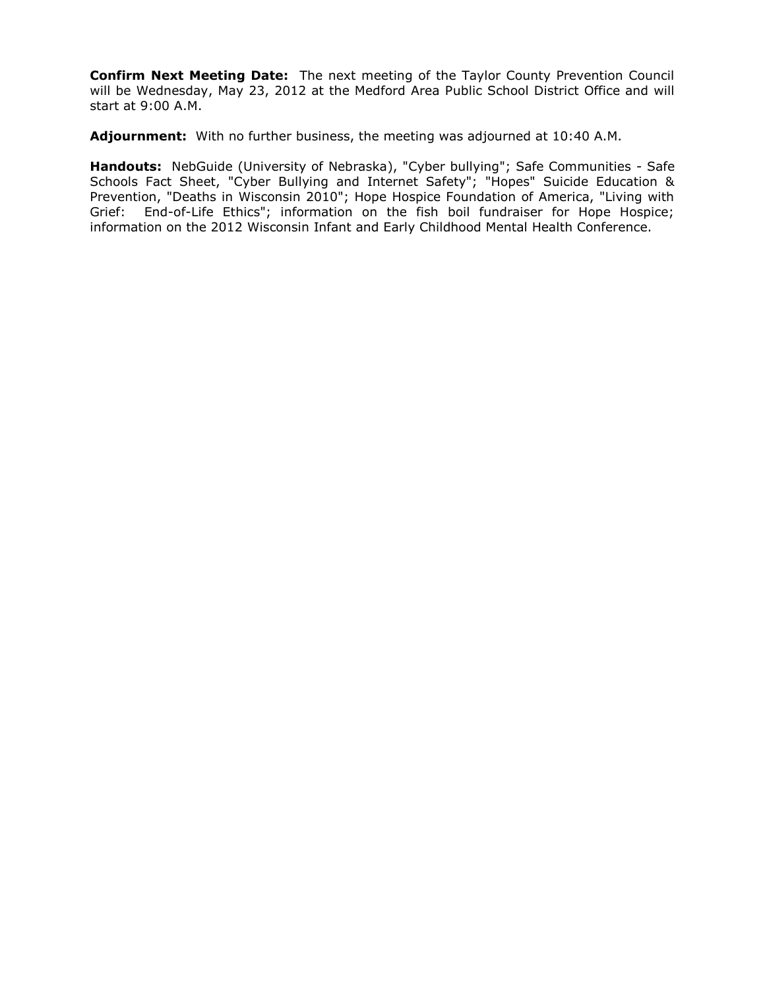**Confirm Next Meeting Date:** The next meeting of the Taylor County Prevention Council will be Wednesday, May 23, 2012 at the Medford Area Public School District Office and will start at 9:00 A.M.

**Adjournment:** With no further business, the meeting was adjourned at 10:40 A.M.

**Handouts:** NebGuide (University of Nebraska), "Cyber bullying"; Safe Communities - Safe Schools Fact Sheet, "Cyber Bullying and Internet Safety"; "Hopes" Suicide Education & Prevention, "Deaths in Wisconsin 2010"; Hope Hospice Foundation of America, "Living with Grief: End-of-Life Ethics"; information on the fish boil fundraiser for Hope Hospice; information on the 2012 Wisconsin Infant and Early Childhood Mental Health Conference.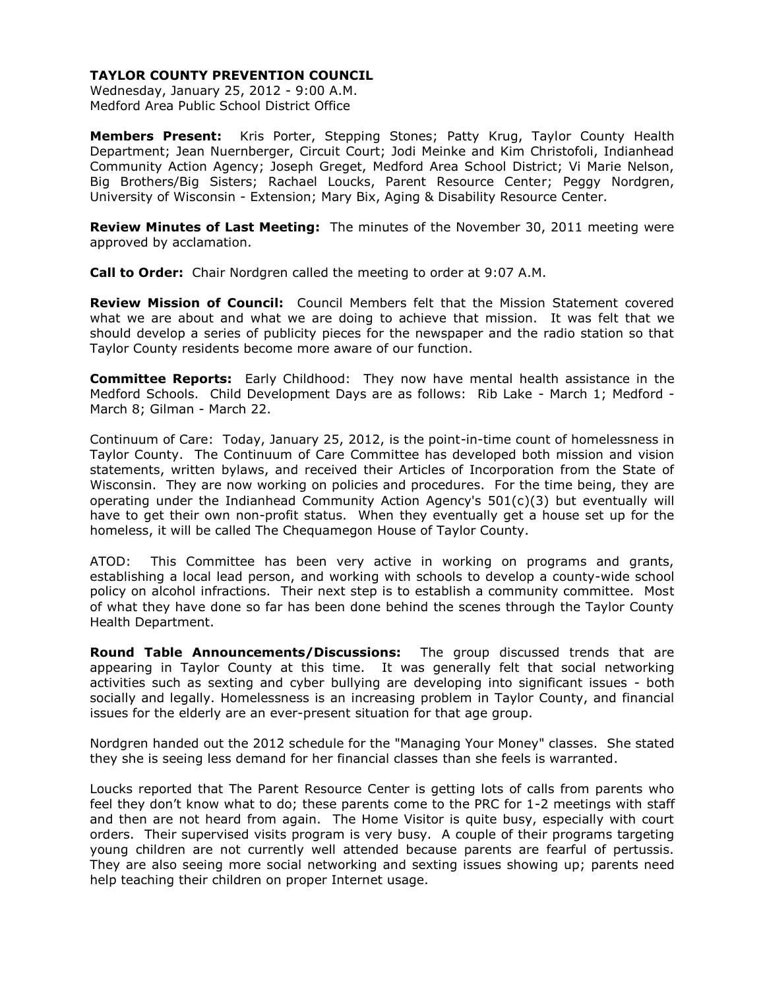## **TAYLOR COUNTY PREVENTION COUNCIL**

Wednesday, January 25, 2012 - 9:00 A.M. Medford Area Public School District Office

**Members Present:** Kris Porter, Stepping Stones; Patty Krug, Taylor County Health Department; Jean Nuernberger, Circuit Court; Jodi Meinke and Kim Christofoli, Indianhead Community Action Agency; Joseph Greget, Medford Area School District; Vi Marie Nelson, Big Brothers/Big Sisters; Rachael Loucks, Parent Resource Center; Peggy Nordgren, University of Wisconsin - Extension; Mary Bix, Aging & Disability Resource Center.

**Review Minutes of Last Meeting:** The minutes of the November 30, 2011 meeting were approved by acclamation.

**Call to Order:** Chair Nordgren called the meeting to order at 9:07 A.M.

**Review Mission of Council:** Council Members felt that the Mission Statement covered what we are about and what we are doing to achieve that mission. It was felt that we should develop a series of publicity pieces for the newspaper and the radio station so that Taylor County residents become more aware of our function.

**Committee Reports:** Early Childhood: They now have mental health assistance in the Medford Schools. Child Development Days are as follows: Rib Lake - March 1; Medford - March 8; Gilman - March 22.

Continuum of Care: Today, January 25, 2012, is the point-in-time count of homelessness in Taylor County. The Continuum of Care Committee has developed both mission and vision statements, written bylaws, and received their Articles of Incorporation from the State of Wisconsin. They are now working on policies and procedures. For the time being, they are operating under the Indianhead Community Action Agency's 501(c)(3) but eventually will have to get their own non-profit status. When they eventually get a house set up for the homeless, it will be called The Chequamegon House of Taylor County.

ATOD: This Committee has been very active in working on programs and grants, establishing a local lead person, and working with schools to develop a county-wide school policy on alcohol infractions. Their next step is to establish a community committee. Most of what they have done so far has been done behind the scenes through the Taylor County Health Department.

**Round Table Announcements/Discussions:** The group discussed trends that are appearing in Taylor County at this time. It was generally felt that social networking activities such as sexting and cyber bullying are developing into significant issues - both socially and legally. Homelessness is an increasing problem in Taylor County, and financial issues for the elderly are an ever-present situation for that age group.

Nordgren handed out the 2012 schedule for the "Managing Your Money" classes. She stated they she is seeing less demand for her financial classes than she feels is warranted.

Loucks reported that The Parent Resource Center is getting lots of calls from parents who feel they don't know what to do; these parents come to the PRC for 1-2 meetings with staff and then are not heard from again. The Home Visitor is quite busy, especially with court orders. Their supervised visits program is very busy. A couple of their programs targeting young children are not currently well attended because parents are fearful of pertussis. They are also seeing more social networking and sexting issues showing up; parents need help teaching their children on proper Internet usage.